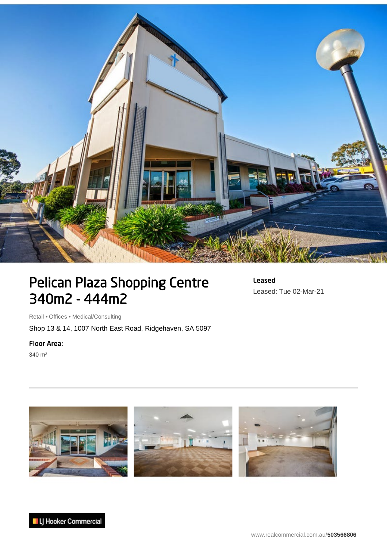

## Pelican Plaza Shopping Centre 340m2 - 444m2

Leased Leased: Tue 02-Mar-21

Retail • Offices • Medical/Consulting

Shop 13 & 14, 1007 North East Road, Ridgehaven, SA 5097

Floor Area:

340 m²